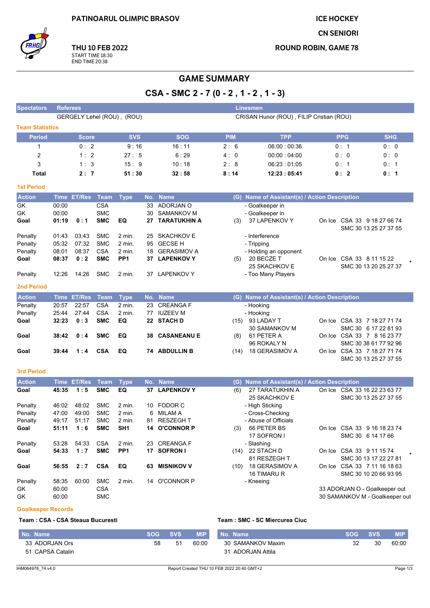**ICE HOCKEY** 

**CN SENIORI** 

**ROUND ROBIN, GAME 78** 



THU 10 FEB 2022 START TIME 18:30<br>END TIME 20:38

# **GAME SUMMARY**

CSA - SMC 2 - 7 (0 - 2, 1 - 2, 1 - 3)

| <b>Spectators</b>      | <b>Referees</b><br><b>Linesmen</b> |              |             |                 |     |                      |                                          |                                               |            |                                                      |  |  |  |
|------------------------|------------------------------------|--------------|-------------|-----------------|-----|----------------------|------------------------------------------|-----------------------------------------------|------------|------------------------------------------------------|--|--|--|
|                        | GERGELY Lehel (ROU), (ROU)         |              |             |                 |     |                      | CRISAN Hunor (ROU), FILIP Cristian (ROU) |                                               |            |                                                      |  |  |  |
| <b>Team Statistics</b> |                                    |              |             |                 |     |                      |                                          |                                               |            |                                                      |  |  |  |
| <b>Period</b>          |                                    | <b>Score</b> |             | <b>SVS</b>      |     | <b>SOG</b>           | <b>PIM</b>                               | <b>TPP</b>                                    | <b>PPG</b> | <b>SHG</b>                                           |  |  |  |
| $\mathbf 1$            |                                    | 0:2          |             | 9:16            |     | 16:11                | 2:6                                      | 06:00:00:36                                   | 0: 1       | 0:0                                                  |  |  |  |
| $\overline{c}$         |                                    | 1:2          |             | 27:5            |     | 6:29                 | 4: 0                                     | 00:00:04:00                                   | 0: 0       | 0: 0                                                 |  |  |  |
| 3                      |                                    | 1:3          |             | 15:9            |     | 10:18                | 2:8                                      | 06:23:01:05                                   | 0: 1       | 0:1                                                  |  |  |  |
| <b>Total</b>           |                                    | 2:7          |             | 51:30           |     | 32:58                | 8:14                                     | 12:23:05:41                                   | 0:2        | 0: 1                                                 |  |  |  |
|                        |                                    |              |             |                 |     |                      |                                          |                                               |            |                                                      |  |  |  |
| <b>1st Period</b>      |                                    |              |             |                 |     |                      |                                          |                                               |            |                                                      |  |  |  |
| <b>Action</b>          |                                    | Time ET/Res  | Team        | <b>Type</b>     |     | No. Name             |                                          | (G) Name of Assistant(s) / Action Description |            |                                                      |  |  |  |
| GK                     | 00:00                              |              | <b>CSA</b>  |                 | 33  | ADORJAN O            |                                          | - Goalkeeper in                               |            |                                                      |  |  |  |
| GK                     | 00:00                              |              | <b>SMC</b>  |                 | 30  | <b>SAMANKOV M</b>    |                                          | - Goalkeeper in                               |            |                                                      |  |  |  |
| Goal                   | 01:19                              | 0:1          | <b>SMC</b>  | EQ              | 27  | <b>TARATUKHIN A</b>  | (3)                                      | 37 LAPENKOV Y                                 |            | On Ice CSA 33 9 18 27 66 74<br>SMC 30 13 25 27 37 55 |  |  |  |
| Penalty                | 01:43                              | 03.43        | <b>SMC</b>  | 2 min.          | 25  | <b>SKACHKOV E</b>    |                                          | - Interference                                |            |                                                      |  |  |  |
| Penalty                | 05:32                              | 07:32        | <b>SMC</b>  | 2 min.          | 95  | <b>GECSE H</b>       |                                          | - Tripping                                    |            |                                                      |  |  |  |
| Penalty                | 08:01                              | 08:37        | <b>CSA</b>  | 2 min.          | 18  | <b>GERASIMOV A</b>   |                                          | - Holding an opponent                         |            |                                                      |  |  |  |
| Goal                   | 08:37                              | 0:2          | <b>SMC</b>  | PP1             |     | 37 LAPENKOV Y        | (5)                                      | 20 BECZE T                                    |            | On Ice CSA 33 8 11 15 22                             |  |  |  |
|                        |                                    |              |             |                 |     |                      |                                          | 25 SKACHKOV E                                 |            | SMC 30 13 20 25 27 37                                |  |  |  |
| Penalty                | 12:26                              | 14:26        | <b>SMC</b>  | 2 min.          |     | 37 LAPENKOV Y        |                                          | - Too Many Players                            |            |                                                      |  |  |  |
| <b>2nd Period</b>      |                                    |              |             |                 |     |                      |                                          |                                               |            |                                                      |  |  |  |
| <b>Action</b>          |                                    | Time ET/Res  | Team        | <b>Type</b>     |     | No. Name             |                                          | (G) Name of Assistant(s) / Action Description |            |                                                      |  |  |  |
| Penalty                | 20:57                              | 22:57        | <b>CSA</b>  | 2 min.          | 23  | <b>CREANGAF</b>      |                                          | - Hooking                                     |            |                                                      |  |  |  |
| Penalty                | 25:44                              | 27:44        | <b>CSA</b>  | 2 min.          |     | 77 IUZEEV M          |                                          | - Hooking                                     |            |                                                      |  |  |  |
| Goal                   | 32:23                              | 0:3          | <b>SMC</b>  | EQ              |     | 22 STACH D           | (15)                                     | 93 LADAY T                                    |            | On Ice CSA 33 7 18 27 71 74                          |  |  |  |
|                        |                                    |              |             |                 |     |                      |                                          | 30 SAMANKOV M                                 |            | SMC 30 6 17 22 81 93                                 |  |  |  |
| Goal                   | 38:42                              | 0:4          | <b>SMC</b>  | EQ              | 38  | <b>CASANEANU E</b>   | (8)                                      | 61 PETER A                                    |            | On Ice CSA 33 7 8 16 23 77                           |  |  |  |
|                        | 39:44                              | 1:4          | <b>CSA</b>  | EQ              |     | <b>74 ABDULLIN B</b> |                                          | 96 ROKALY N<br>18 GERASIMOV A                 |            | SMC 30 38 61 77 92 96<br>On Ice CSA 33 7 18 27 71 74 |  |  |  |
| Goal                   |                                    |              |             |                 |     |                      | (14)                                     |                                               |            | SMC 30 13 25 27 37 55                                |  |  |  |
|                        |                                    |              |             |                 |     |                      |                                          |                                               |            |                                                      |  |  |  |
| <b>3rd Period</b>      |                                    |              |             |                 |     |                      |                                          |                                               |            |                                                      |  |  |  |
| <b>Action</b>          |                                    | Time ET/Res  | <b>Team</b> | <b>Type</b>     |     | No. Name             |                                          | (G) Name of Assistant(s) / Action Description |            |                                                      |  |  |  |
| Goal                   | 45:35                              | 1:5          | <b>SMC</b>  | EQ              |     | 37 LAPENKOV Y        | (6)                                      | 27 TARATUKHIN A                               |            | On Ice CSA 33 16 22 23 63 77                         |  |  |  |
| Penalty                | 46:02                              | 48:02        | <b>SMC</b>  | 2 min.          | 10  | <b>FODOR C</b>       |                                          | 25 SKACHKOV E<br>- High Sticking              |            | SMC 30 13 25 27 37 55                                |  |  |  |
| Penalty                | 47:00                              | 49.00        | <b>SMC</b>  | 2 min.          | 6   | MILAM A              |                                          | - Cross-Checking                              |            |                                                      |  |  |  |
| Penalty                | 49.17                              | 51:17        | <b>SMC</b>  | 2 min.          | 81  | <b>RESZEGHT</b>      |                                          | - Abuse of Officials                          |            |                                                      |  |  |  |
| Goal                   | 51:11                              | 1:6          | <b>SMC</b>  | SH <sub>1</sub> |     | 14 O'CONNOR P        | (3)                                      | 66 PETER BS                                   |            | On Ice CSA 33 9 16 18 23 74                          |  |  |  |
|                        |                                    |              |             |                 |     |                      |                                          | 17 SOFRON I                                   |            | SMC 30 6 14 17 66                                    |  |  |  |
| Penalty                | 53:28                              | 54:33        | <b>CSA</b>  | 2 min.          |     | 23 CREANGA F         |                                          | - Slashing                                    |            |                                                      |  |  |  |
| Goal                   | 54:33                              | 1:7          | <b>SMC</b>  | PP <sub>1</sub> |     | 17 SOFRON I          |                                          | (14) 22 STACH D                               |            | On Ice CSA 33 9 11 15 74                             |  |  |  |
|                        |                                    |              |             |                 |     |                      |                                          | 81 RESZEGH T                                  |            | SMC 30 13 17 22 27 81                                |  |  |  |
| Goal                   | 56:55                              | 2:7          | <b>CSA</b>  | EQ              | 63. | <b>MISNIKOV V</b>    |                                          | (10) 18 GERASIMOV A<br>16 TIMARU R            |            | On Ice CSA 33 7 11 16 18 63<br>SMC 30 10 20 66 93 95 |  |  |  |
| Penalty                | 58:35                              | 60:00        | <b>SMC</b>  | 2 min.          |     | 14 O'CONNOR P        |                                          | - Kneeing                                     |            |                                                      |  |  |  |
| GK                     | 60:00                              |              | <b>CSA</b>  |                 |     |                      |                                          |                                               |            | 33 ADORJAN O - Goalkeeper out                        |  |  |  |
| GK                     | 60:00                              |              | <b>SMC</b>  |                 |     |                      |                                          |                                               |            | 30 SAMANKOV M - Goalkeeper out                       |  |  |  |
|                        |                                    |              |             |                 |     |                      |                                          |                                               |            |                                                      |  |  |  |

## **Goalkeeper Records**

Team: CSA - CSA Steaua Bucuresti

#### Team : SMC - SC Miercurea Ciuc

| No. Name         | SOG | <b>SVS</b> | <b>MIP</b> | No. Name          | <b>SOG</b> | SVS. | <b>MIP</b> |
|------------------|-----|------------|------------|-------------------|------------|------|------------|
| 33 ADORJAN Ors   | 58  | 51         | 60:00      | 30 SAMANKOV Maxim | 32         | 30   | 60:00      |
| 51 CAPSA Catalin |     |            |            | 31 ADORJAN Attila |            |      |            |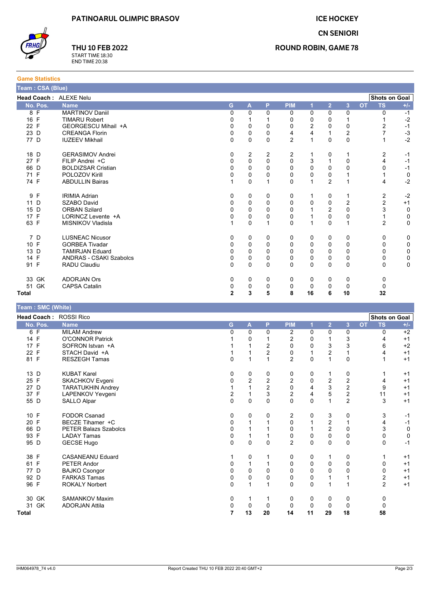**ICE HOCKEY** 

**CN SENIORI** 



**Game Statistics** 

THU 10 FEB 2022 START TIME 18:30<br>END TIME 20:38

### **ROUND ROBIN, GAME 78**

| <b>Shots on Goal</b><br>Head Coach : ALEXE Nelu<br><b>PIM</b><br>$\overline{2}$<br><b>TS</b><br>No. Pos.<br>G<br>A<br>P<br>3<br><b>OT</b><br>$+/-$<br><b>Name</b><br>$\overline{1}$<br>8 F<br><b>MARTINOV Daniil</b><br>0<br>0<br>0<br>0<br>0<br>0<br>0<br>0<br>$-1$<br>$-2$<br>16 F<br>0<br>0<br>0<br>$\mathbf{1}$<br><b>TIMARU Robert</b><br>1<br>$\mathbf{1}$<br>0<br>1<br>22 F<br>$\mathbf 0$<br>0<br>2<br>0<br>0<br>2<br>$-1$<br>GEORGESCU Mihail +A<br>0<br>0<br>$\overline{7}$<br>0<br>4<br>$\boldsymbol{2}$<br>$-3$<br>23 D<br>0<br>0<br>4<br>$\mathbf{1}$<br><b>CREANGA Florin</b><br>$-2$<br>77 D<br>0<br>0<br>0<br>$\overline{2}$<br>$\mathbf{1}$<br>0<br>$\mathbf 0$<br><b>IUZEEV Mikhail</b><br>$\mathbf{1}$<br><b>GERASIMOV Andrei</b><br>2<br>2<br>2<br>2<br>18 D<br>0<br>1<br>0<br>1<br>$-1$<br>$\mathbf 0$<br>27 F<br>FILIP Andrei +C<br>$\mathbf 0$<br>0<br>0<br>3<br>$\mathbf{1}$<br>0<br>4<br>$-1$<br>$\pmb{0}$<br>0<br>66 D<br><b>BOLDIZSAR Cristian</b><br>0<br>0<br>0<br>0<br>0<br>0<br>$-1$<br>71 F<br>POLOZOV Kirill<br>0<br>0<br>0<br>0<br>0<br>$\mathbf 0$<br>0<br>1<br>$\mathbf{1}$<br>$\overline{2}$<br>$-2$<br>74 F<br>$\mathbf{1}$<br>$\mathbf 0$<br>$\mathbf{1}$<br>0<br>$\mathbf{1}$<br>$\mathbf{1}$<br>4<br><b>ABDULLIN Bairas</b><br>2<br>9 F<br>$-2$<br><b>IRIMIA Adrian</b><br>0<br>0<br>0<br>0<br>0<br>1<br>1<br>$\overline{c}$<br>0<br>$\overline{2}$<br>11 D<br>SZABO David<br>0<br>$\mathbf 0$<br>0<br>0<br>0<br>$+1$<br>3<br>15 D<br><b>ORBAN Szilard</b><br>0<br>$\mathbf 0$<br>0<br>2<br>$\mathbf 0$<br>$\mathbf 0$<br>0<br>1<br>17 F<br>$\mathbf 0$<br>0<br>0<br>0<br>$\mathbf{1}$<br>0<br>0<br>$\mathbf{1}$<br>$\mathbf 0$<br>LORINCZ Levente +A<br>$\overline{2}$<br>63 F<br>$\mathbf{1}$<br>$\mathbf 0$<br>$\mathbf{1}$<br>0<br>$\mathbf{1}$<br>0<br>$\mathbf{1}$<br>0<br>MISNIKOV Vladisla<br>7 D<br><b>LUSNEAC Nicusor</b><br>0<br>0<br>0<br>0<br>0<br>0<br>0<br>0<br>0<br>10 F<br><b>GORBEA Tivadar</b><br>0<br>0<br>0<br>0<br>0<br>$\mathbf 0$<br>0<br>0<br>0<br>13 D<br>0<br>$\mathbf 0$<br>0<br>0<br>0<br>$\mathbf 0$<br>0<br>0<br>0<br><b>TAMIRJAN Eduard</b><br>14 F<br>0<br>0<br>0<br>0<br>0<br>0<br>0<br><b>ANDRAS - CSAKI Szabolcs</b><br>0<br>0<br>91 F<br>$\Omega$<br>$\Omega$<br>$\Omega$<br>$\Omega$<br>$\Omega$<br>$\Omega$<br>$\mathbf 0$<br><b>RADU Claudiu</b><br>0<br>0<br><b>ADORJAN Ors</b><br>33 GK<br>0<br>0<br>0<br>0<br>0<br>0<br>0<br>0<br>51 GK<br>0<br>0<br>$\mathbf 0$<br>0<br>0<br>$\mathbf 0$<br><b>CAPSA Catalin</b><br>0<br>0<br>$\mathbf 2$<br>3<br>5<br>8<br>16<br>6<br>10<br>32<br>Total<br>Team: SMC (White)<br>Shots on Goal<br>Head Coach: ROSSI Rico<br><b>PIM</b><br>$\overline{\mathbf{2}}$<br>3<br><b>TS</b><br>G<br>P<br>OT<br>No. Pos.<br><b>Name</b><br>A<br>$+/-$<br>и<br>$\overline{0}$<br>$\overline{0}$<br>$\overline{2}$<br>$\overline{0}$<br>$\overline{0}$<br>$\overline{0}$<br>6 F<br><b>MILAM Andrew</b><br>0<br>0<br>$+2$<br>14 F<br><b>O'CONNOR Patrick</b><br>$\mathbf 0$<br>2<br>0<br>$\mathbf{1}$<br>3<br>1<br>$\mathbf{1}$<br>4<br>$+1$<br>$\overline{2}$<br>3<br>3<br>$+2$<br>17 F<br>0<br>0<br>6<br>SOFRON Istvan +A<br>1<br>1<br>22 F<br>STACH David +A<br>2<br>2<br>1<br>1<br>0<br>1<br>1<br>4<br>$+1$<br>$\overline{2}$<br>$\mathbf 0$<br>81 F<br><b>RESZEGH Tamas</b><br>0<br>1<br>$\mathbf{1}$<br>$\Omega$<br>$\mathbf{1}$<br>$\mathbf{1}$<br>$+1$<br><b>KUBAT Karel</b><br>0<br>13 D<br>0<br>0<br>0<br>0<br>0<br>$\mathbf{1}$<br>1<br>$+1$<br>25 F<br>2<br>2<br>2<br>0<br>2<br>$\overline{c}$<br>SKACHKOV Evgeni<br>0<br>4<br>$+1$<br>$\overline{c}$<br>3<br>$\boldsymbol{2}$<br>27 D<br>$\mathbf{1}$<br>$\mathbf{1}$<br>0<br>4<br>9<br><b>TARATUKHIN Andrey</b><br>$+1$<br>5<br>$\boldsymbol{2}$<br>37 F<br>2<br>3<br>2<br>LAPENKOV Yevgeni<br>1<br>4<br>11<br>$+1$<br>$\overline{2}$<br>0<br>$\mathbf 0$<br>$\Omega$<br>$\Omega$<br>0<br>$\mathbf{1}$<br>3<br>55 D<br>SALLO Alpar<br>$+1$<br>10 F<br><b>FODOR Csanad</b><br>0<br>0<br>2<br>0<br>3<br>3<br>0<br>0<br>$-1$<br>20 F<br>2<br>BECZE Tihamer +C<br>0<br>$\mathbf{1}$<br>$\mathbf{1}$<br>0<br>$\mathbf{1}$<br>4<br>$-1$<br>$\mathbf{1}$<br>66 D<br>0<br>$\overline{2}$<br>$\mathbf 0$<br>3<br>$\mathbf 0$<br><b>PETER Balazs Szabolcs</b><br>1<br>$\mathbf{1}$<br>0<br>$\mathbf{1}$<br>93 F<br>0<br>0<br>$\mathbf 0$<br>$\Omega$<br>0<br>0<br>$\mathbf 0$<br><b>LADAY Tamas</b><br>1<br>$\mathbf{1}$<br>95 D<br>GECSE Hugo<br>$\Omega$<br>$\Omega$<br>$\Omega$<br>2<br>$\Omega$<br>$\Omega$<br>$-1$<br>0<br>0<br>38 F<br><b>CASANEANU Eduard</b><br>0<br>$\mathbf{1}$<br>0<br>0<br>$\mathbf{1}$<br>1<br>0<br>1<br>$+1$<br>61 F<br>PETER Andor<br>0<br>1<br>$\Omega$<br>$\Omega$<br>0<br>$\mathbf 0$<br>$\mathbf{1}$<br>0<br>$+1$<br>77 D<br>0<br>$\Omega$<br>$\Omega$<br>$\Omega$<br>$\mathbf 0$<br>$\Omega$<br>$\mathbf 0$<br>0<br><b>BAJKO Csongor</b><br>$+1$<br>$\overline{2}$<br>92 D<br><b>FARKAS Tamas</b><br>$\mathbf 0$<br>0<br>0<br>0<br>0<br>$\mathbf{1}$<br>$\mathbf{1}$<br>$+1$<br>96 F<br>$\overline{2}$<br><b>ROKALY Norbert</b><br>$\mathbf{1}$<br>$\Omega$<br>$\Omega$<br>$\mathbf{1}$<br>0<br>$\mathbf{1}$<br>$\mathbf 1$<br>$+1$<br>30 GK<br>SAMANKOV Maxim<br>0<br>$\mathbf{1}$<br>0<br>0<br>0<br>1<br>0<br>0<br>31 GK<br>0<br>$\mathbf 0$<br>0<br>$\mathbf 0$<br>0<br>0<br>0<br>$\mathbf 0$<br><b>ADORJAN Attila</b><br>13<br>$\overline{7}$<br>20<br>14<br>11<br>29<br>18<br>58<br><b>Total</b> | Team: CSA (Blue) |  |  |  |  |  |  |
|--------------------------------------------------------------------------------------------------------------------------------------------------------------------------------------------------------------------------------------------------------------------------------------------------------------------------------------------------------------------------------------------------------------------------------------------------------------------------------------------------------------------------------------------------------------------------------------------------------------------------------------------------------------------------------------------------------------------------------------------------------------------------------------------------------------------------------------------------------------------------------------------------------------------------------------------------------------------------------------------------------------------------------------------------------------------------------------------------------------------------------------------------------------------------------------------------------------------------------------------------------------------------------------------------------------------------------------------------------------------------------------------------------------------------------------------------------------------------------------------------------------------------------------------------------------------------------------------------------------------------------------------------------------------------------------------------------------------------------------------------------------------------------------------------------------------------------------------------------------------------------------------------------------------------------------------------------------------------------------------------------------------------------------------------------------------------------------------------------------------------------------------------------------------------------------------------------------------------------------------------------------------------------------------------------------------------------------------------------------------------------------------------------------------------------------------------------------------------------------------------------------------------------------------------------------------------------------------------------------------------------------------------------------------------------------------------------------------------------------------------------------------------------------------------------------------------------------------------------------------------------------------------------------------------------------------------------------------------------------------------------------------------------------------------------------------------------------------------------------------------------------------------------------------------------------------------------------------------------------------------------------------------------------------------------------------------------------------------------------------------------------------------------------------------------------------------------------------------------------------------------------------------------------------------------------------------------------------------------------------------------------------------------------------------------------------------------------------------------------------------------------------------------------------------------------------------------------------------------------------------------------------------------------------------------------------------------------------------------------------------------------------------------------------------------------------------------------------------------------------------------------------------------------------------------------------------------------------------------------------------------------------------------------------------------------------------------------------------------------------------------------------------------------------------------------------------------------------------------------------------------------------------------------------------------------------------------------------------------------------------------------------------------------------------------------------------------------------------------------------------------------------------------------------------------------------------------------------------------------------------------------------------------------------------------------------------------------------------------------------------------------------------------------------------------------------------------------------------------------------------------------------------------------------------------------------------------------------------------------------------------------------------------------------------------------------------------------------------------------------------------------------------------|------------------|--|--|--|--|--|--|
|                                                                                                                                                                                                                                                                                                                                                                                                                                                                                                                                                                                                                                                                                                                                                                                                                                                                                                                                                                                                                                                                                                                                                                                                                                                                                                                                                                                                                                                                                                                                                                                                                                                                                                                                                                                                                                                                                                                                                                                                                                                                                                                                                                                                                                                                                                                                                                                                                                                                                                                                                                                                                                                                                                                                                                                                                                                                                                                                                                                                                                                                                                                                                                                                                                                                                                                                                                                                                                                                                                                                                                                                                                                                                                                                                                                                                                                                                                                                                                                                                                                                                                                                                                                                                                                                                                                                                                                                                                                                                                                                                                                                                                                                                                                                                                                                                                                                                                                                                                                                                                                                                                                                                                                                                                                                                                                                                                                                        |                  |  |  |  |  |  |  |
|                                                                                                                                                                                                                                                                                                                                                                                                                                                                                                                                                                                                                                                                                                                                                                                                                                                                                                                                                                                                                                                                                                                                                                                                                                                                                                                                                                                                                                                                                                                                                                                                                                                                                                                                                                                                                                                                                                                                                                                                                                                                                                                                                                                                                                                                                                                                                                                                                                                                                                                                                                                                                                                                                                                                                                                                                                                                                                                                                                                                                                                                                                                                                                                                                                                                                                                                                                                                                                                                                                                                                                                                                                                                                                                                                                                                                                                                                                                                                                                                                                                                                                                                                                                                                                                                                                                                                                                                                                                                                                                                                                                                                                                                                                                                                                                                                                                                                                                                                                                                                                                                                                                                                                                                                                                                                                                                                                                                        |                  |  |  |  |  |  |  |
|                                                                                                                                                                                                                                                                                                                                                                                                                                                                                                                                                                                                                                                                                                                                                                                                                                                                                                                                                                                                                                                                                                                                                                                                                                                                                                                                                                                                                                                                                                                                                                                                                                                                                                                                                                                                                                                                                                                                                                                                                                                                                                                                                                                                                                                                                                                                                                                                                                                                                                                                                                                                                                                                                                                                                                                                                                                                                                                                                                                                                                                                                                                                                                                                                                                                                                                                                                                                                                                                                                                                                                                                                                                                                                                                                                                                                                                                                                                                                                                                                                                                                                                                                                                                                                                                                                                                                                                                                                                                                                                                                                                                                                                                                                                                                                                                                                                                                                                                                                                                                                                                                                                                                                                                                                                                                                                                                                                                        |                  |  |  |  |  |  |  |
|                                                                                                                                                                                                                                                                                                                                                                                                                                                                                                                                                                                                                                                                                                                                                                                                                                                                                                                                                                                                                                                                                                                                                                                                                                                                                                                                                                                                                                                                                                                                                                                                                                                                                                                                                                                                                                                                                                                                                                                                                                                                                                                                                                                                                                                                                                                                                                                                                                                                                                                                                                                                                                                                                                                                                                                                                                                                                                                                                                                                                                                                                                                                                                                                                                                                                                                                                                                                                                                                                                                                                                                                                                                                                                                                                                                                                                                                                                                                                                                                                                                                                                                                                                                                                                                                                                                                                                                                                                                                                                                                                                                                                                                                                                                                                                                                                                                                                                                                                                                                                                                                                                                                                                                                                                                                                                                                                                                                        |                  |  |  |  |  |  |  |
|                                                                                                                                                                                                                                                                                                                                                                                                                                                                                                                                                                                                                                                                                                                                                                                                                                                                                                                                                                                                                                                                                                                                                                                                                                                                                                                                                                                                                                                                                                                                                                                                                                                                                                                                                                                                                                                                                                                                                                                                                                                                                                                                                                                                                                                                                                                                                                                                                                                                                                                                                                                                                                                                                                                                                                                                                                                                                                                                                                                                                                                                                                                                                                                                                                                                                                                                                                                                                                                                                                                                                                                                                                                                                                                                                                                                                                                                                                                                                                                                                                                                                                                                                                                                                                                                                                                                                                                                                                                                                                                                                                                                                                                                                                                                                                                                                                                                                                                                                                                                                                                                                                                                                                                                                                                                                                                                                                                                        |                  |  |  |  |  |  |  |
|                                                                                                                                                                                                                                                                                                                                                                                                                                                                                                                                                                                                                                                                                                                                                                                                                                                                                                                                                                                                                                                                                                                                                                                                                                                                                                                                                                                                                                                                                                                                                                                                                                                                                                                                                                                                                                                                                                                                                                                                                                                                                                                                                                                                                                                                                                                                                                                                                                                                                                                                                                                                                                                                                                                                                                                                                                                                                                                                                                                                                                                                                                                                                                                                                                                                                                                                                                                                                                                                                                                                                                                                                                                                                                                                                                                                                                                                                                                                                                                                                                                                                                                                                                                                                                                                                                                                                                                                                                                                                                                                                                                                                                                                                                                                                                                                                                                                                                                                                                                                                                                                                                                                                                                                                                                                                                                                                                                                        |                  |  |  |  |  |  |  |
|                                                                                                                                                                                                                                                                                                                                                                                                                                                                                                                                                                                                                                                                                                                                                                                                                                                                                                                                                                                                                                                                                                                                                                                                                                                                                                                                                                                                                                                                                                                                                                                                                                                                                                                                                                                                                                                                                                                                                                                                                                                                                                                                                                                                                                                                                                                                                                                                                                                                                                                                                                                                                                                                                                                                                                                                                                                                                                                                                                                                                                                                                                                                                                                                                                                                                                                                                                                                                                                                                                                                                                                                                                                                                                                                                                                                                                                                                                                                                                                                                                                                                                                                                                                                                                                                                                                                                                                                                                                                                                                                                                                                                                                                                                                                                                                                                                                                                                                                                                                                                                                                                                                                                                                                                                                                                                                                                                                                        |                  |  |  |  |  |  |  |
|                                                                                                                                                                                                                                                                                                                                                                                                                                                                                                                                                                                                                                                                                                                                                                                                                                                                                                                                                                                                                                                                                                                                                                                                                                                                                                                                                                                                                                                                                                                                                                                                                                                                                                                                                                                                                                                                                                                                                                                                                                                                                                                                                                                                                                                                                                                                                                                                                                                                                                                                                                                                                                                                                                                                                                                                                                                                                                                                                                                                                                                                                                                                                                                                                                                                                                                                                                                                                                                                                                                                                                                                                                                                                                                                                                                                                                                                                                                                                                                                                                                                                                                                                                                                                                                                                                                                                                                                                                                                                                                                                                                                                                                                                                                                                                                                                                                                                                                                                                                                                                                                                                                                                                                                                                                                                                                                                                                                        |                  |  |  |  |  |  |  |
|                                                                                                                                                                                                                                                                                                                                                                                                                                                                                                                                                                                                                                                                                                                                                                                                                                                                                                                                                                                                                                                                                                                                                                                                                                                                                                                                                                                                                                                                                                                                                                                                                                                                                                                                                                                                                                                                                                                                                                                                                                                                                                                                                                                                                                                                                                                                                                                                                                                                                                                                                                                                                                                                                                                                                                                                                                                                                                                                                                                                                                                                                                                                                                                                                                                                                                                                                                                                                                                                                                                                                                                                                                                                                                                                                                                                                                                                                                                                                                                                                                                                                                                                                                                                                                                                                                                                                                                                                                                                                                                                                                                                                                                                                                                                                                                                                                                                                                                                                                                                                                                                                                                                                                                                                                                                                                                                                                                                        |                  |  |  |  |  |  |  |
|                                                                                                                                                                                                                                                                                                                                                                                                                                                                                                                                                                                                                                                                                                                                                                                                                                                                                                                                                                                                                                                                                                                                                                                                                                                                                                                                                                                                                                                                                                                                                                                                                                                                                                                                                                                                                                                                                                                                                                                                                                                                                                                                                                                                                                                                                                                                                                                                                                                                                                                                                                                                                                                                                                                                                                                                                                                                                                                                                                                                                                                                                                                                                                                                                                                                                                                                                                                                                                                                                                                                                                                                                                                                                                                                                                                                                                                                                                                                                                                                                                                                                                                                                                                                                                                                                                                                                                                                                                                                                                                                                                                                                                                                                                                                                                                                                                                                                                                                                                                                                                                                                                                                                                                                                                                                                                                                                                                                        |                  |  |  |  |  |  |  |
|                                                                                                                                                                                                                                                                                                                                                                                                                                                                                                                                                                                                                                                                                                                                                                                                                                                                                                                                                                                                                                                                                                                                                                                                                                                                                                                                                                                                                                                                                                                                                                                                                                                                                                                                                                                                                                                                                                                                                                                                                                                                                                                                                                                                                                                                                                                                                                                                                                                                                                                                                                                                                                                                                                                                                                                                                                                                                                                                                                                                                                                                                                                                                                                                                                                                                                                                                                                                                                                                                                                                                                                                                                                                                                                                                                                                                                                                                                                                                                                                                                                                                                                                                                                                                                                                                                                                                                                                                                                                                                                                                                                                                                                                                                                                                                                                                                                                                                                                                                                                                                                                                                                                                                                                                                                                                                                                                                                                        |                  |  |  |  |  |  |  |
|                                                                                                                                                                                                                                                                                                                                                                                                                                                                                                                                                                                                                                                                                                                                                                                                                                                                                                                                                                                                                                                                                                                                                                                                                                                                                                                                                                                                                                                                                                                                                                                                                                                                                                                                                                                                                                                                                                                                                                                                                                                                                                                                                                                                                                                                                                                                                                                                                                                                                                                                                                                                                                                                                                                                                                                                                                                                                                                                                                                                                                                                                                                                                                                                                                                                                                                                                                                                                                                                                                                                                                                                                                                                                                                                                                                                                                                                                                                                                                                                                                                                                                                                                                                                                                                                                                                                                                                                                                                                                                                                                                                                                                                                                                                                                                                                                                                                                                                                                                                                                                                                                                                                                                                                                                                                                                                                                                                                        |                  |  |  |  |  |  |  |
|                                                                                                                                                                                                                                                                                                                                                                                                                                                                                                                                                                                                                                                                                                                                                                                                                                                                                                                                                                                                                                                                                                                                                                                                                                                                                                                                                                                                                                                                                                                                                                                                                                                                                                                                                                                                                                                                                                                                                                                                                                                                                                                                                                                                                                                                                                                                                                                                                                                                                                                                                                                                                                                                                                                                                                                                                                                                                                                                                                                                                                                                                                                                                                                                                                                                                                                                                                                                                                                                                                                                                                                                                                                                                                                                                                                                                                                                                                                                                                                                                                                                                                                                                                                                                                                                                                                                                                                                                                                                                                                                                                                                                                                                                                                                                                                                                                                                                                                                                                                                                                                                                                                                                                                                                                                                                                                                                                                                        |                  |  |  |  |  |  |  |
|                                                                                                                                                                                                                                                                                                                                                                                                                                                                                                                                                                                                                                                                                                                                                                                                                                                                                                                                                                                                                                                                                                                                                                                                                                                                                                                                                                                                                                                                                                                                                                                                                                                                                                                                                                                                                                                                                                                                                                                                                                                                                                                                                                                                                                                                                                                                                                                                                                                                                                                                                                                                                                                                                                                                                                                                                                                                                                                                                                                                                                                                                                                                                                                                                                                                                                                                                                                                                                                                                                                                                                                                                                                                                                                                                                                                                                                                                                                                                                                                                                                                                                                                                                                                                                                                                                                                                                                                                                                                                                                                                                                                                                                                                                                                                                                                                                                                                                                                                                                                                                                                                                                                                                                                                                                                                                                                                                                                        |                  |  |  |  |  |  |  |
|                                                                                                                                                                                                                                                                                                                                                                                                                                                                                                                                                                                                                                                                                                                                                                                                                                                                                                                                                                                                                                                                                                                                                                                                                                                                                                                                                                                                                                                                                                                                                                                                                                                                                                                                                                                                                                                                                                                                                                                                                                                                                                                                                                                                                                                                                                                                                                                                                                                                                                                                                                                                                                                                                                                                                                                                                                                                                                                                                                                                                                                                                                                                                                                                                                                                                                                                                                                                                                                                                                                                                                                                                                                                                                                                                                                                                                                                                                                                                                                                                                                                                                                                                                                                                                                                                                                                                                                                                                                                                                                                                                                                                                                                                                                                                                                                                                                                                                                                                                                                                                                                                                                                                                                                                                                                                                                                                                                                        |                  |  |  |  |  |  |  |
|                                                                                                                                                                                                                                                                                                                                                                                                                                                                                                                                                                                                                                                                                                                                                                                                                                                                                                                                                                                                                                                                                                                                                                                                                                                                                                                                                                                                                                                                                                                                                                                                                                                                                                                                                                                                                                                                                                                                                                                                                                                                                                                                                                                                                                                                                                                                                                                                                                                                                                                                                                                                                                                                                                                                                                                                                                                                                                                                                                                                                                                                                                                                                                                                                                                                                                                                                                                                                                                                                                                                                                                                                                                                                                                                                                                                                                                                                                                                                                                                                                                                                                                                                                                                                                                                                                                                                                                                                                                                                                                                                                                                                                                                                                                                                                                                                                                                                                                                                                                                                                                                                                                                                                                                                                                                                                                                                                                                        |                  |  |  |  |  |  |  |
|                                                                                                                                                                                                                                                                                                                                                                                                                                                                                                                                                                                                                                                                                                                                                                                                                                                                                                                                                                                                                                                                                                                                                                                                                                                                                                                                                                                                                                                                                                                                                                                                                                                                                                                                                                                                                                                                                                                                                                                                                                                                                                                                                                                                                                                                                                                                                                                                                                                                                                                                                                                                                                                                                                                                                                                                                                                                                                                                                                                                                                                                                                                                                                                                                                                                                                                                                                                                                                                                                                                                                                                                                                                                                                                                                                                                                                                                                                                                                                                                                                                                                                                                                                                                                                                                                                                                                                                                                                                                                                                                                                                                                                                                                                                                                                                                                                                                                                                                                                                                                                                                                                                                                                                                                                                                                                                                                                                                        |                  |  |  |  |  |  |  |
|                                                                                                                                                                                                                                                                                                                                                                                                                                                                                                                                                                                                                                                                                                                                                                                                                                                                                                                                                                                                                                                                                                                                                                                                                                                                                                                                                                                                                                                                                                                                                                                                                                                                                                                                                                                                                                                                                                                                                                                                                                                                                                                                                                                                                                                                                                                                                                                                                                                                                                                                                                                                                                                                                                                                                                                                                                                                                                                                                                                                                                                                                                                                                                                                                                                                                                                                                                                                                                                                                                                                                                                                                                                                                                                                                                                                                                                                                                                                                                                                                                                                                                                                                                                                                                                                                                                                                                                                                                                                                                                                                                                                                                                                                                                                                                                                                                                                                                                                                                                                                                                                                                                                                                                                                                                                                                                                                                                                        |                  |  |  |  |  |  |  |
|                                                                                                                                                                                                                                                                                                                                                                                                                                                                                                                                                                                                                                                                                                                                                                                                                                                                                                                                                                                                                                                                                                                                                                                                                                                                                                                                                                                                                                                                                                                                                                                                                                                                                                                                                                                                                                                                                                                                                                                                                                                                                                                                                                                                                                                                                                                                                                                                                                                                                                                                                                                                                                                                                                                                                                                                                                                                                                                                                                                                                                                                                                                                                                                                                                                                                                                                                                                                                                                                                                                                                                                                                                                                                                                                                                                                                                                                                                                                                                                                                                                                                                                                                                                                                                                                                                                                                                                                                                                                                                                                                                                                                                                                                                                                                                                                                                                                                                                                                                                                                                                                                                                                                                                                                                                                                                                                                                                                        |                  |  |  |  |  |  |  |
|                                                                                                                                                                                                                                                                                                                                                                                                                                                                                                                                                                                                                                                                                                                                                                                                                                                                                                                                                                                                                                                                                                                                                                                                                                                                                                                                                                                                                                                                                                                                                                                                                                                                                                                                                                                                                                                                                                                                                                                                                                                                                                                                                                                                                                                                                                                                                                                                                                                                                                                                                                                                                                                                                                                                                                                                                                                                                                                                                                                                                                                                                                                                                                                                                                                                                                                                                                                                                                                                                                                                                                                                                                                                                                                                                                                                                                                                                                                                                                                                                                                                                                                                                                                                                                                                                                                                                                                                                                                                                                                                                                                                                                                                                                                                                                                                                                                                                                                                                                                                                                                                                                                                                                                                                                                                                                                                                                                                        |                  |  |  |  |  |  |  |
|                                                                                                                                                                                                                                                                                                                                                                                                                                                                                                                                                                                                                                                                                                                                                                                                                                                                                                                                                                                                                                                                                                                                                                                                                                                                                                                                                                                                                                                                                                                                                                                                                                                                                                                                                                                                                                                                                                                                                                                                                                                                                                                                                                                                                                                                                                                                                                                                                                                                                                                                                                                                                                                                                                                                                                                                                                                                                                                                                                                                                                                                                                                                                                                                                                                                                                                                                                                                                                                                                                                                                                                                                                                                                                                                                                                                                                                                                                                                                                                                                                                                                                                                                                                                                                                                                                                                                                                                                                                                                                                                                                                                                                                                                                                                                                                                                                                                                                                                                                                                                                                                                                                                                                                                                                                                                                                                                                                                        |                  |  |  |  |  |  |  |
|                                                                                                                                                                                                                                                                                                                                                                                                                                                                                                                                                                                                                                                                                                                                                                                                                                                                                                                                                                                                                                                                                                                                                                                                                                                                                                                                                                                                                                                                                                                                                                                                                                                                                                                                                                                                                                                                                                                                                                                                                                                                                                                                                                                                                                                                                                                                                                                                                                                                                                                                                                                                                                                                                                                                                                                                                                                                                                                                                                                                                                                                                                                                                                                                                                                                                                                                                                                                                                                                                                                                                                                                                                                                                                                                                                                                                                                                                                                                                                                                                                                                                                                                                                                                                                                                                                                                                                                                                                                                                                                                                                                                                                                                                                                                                                                                                                                                                                                                                                                                                                                                                                                                                                                                                                                                                                                                                                                                        |                  |  |  |  |  |  |  |
|                                                                                                                                                                                                                                                                                                                                                                                                                                                                                                                                                                                                                                                                                                                                                                                                                                                                                                                                                                                                                                                                                                                                                                                                                                                                                                                                                                                                                                                                                                                                                                                                                                                                                                                                                                                                                                                                                                                                                                                                                                                                                                                                                                                                                                                                                                                                                                                                                                                                                                                                                                                                                                                                                                                                                                                                                                                                                                                                                                                                                                                                                                                                                                                                                                                                                                                                                                                                                                                                                                                                                                                                                                                                                                                                                                                                                                                                                                                                                                                                                                                                                                                                                                                                                                                                                                                                                                                                                                                                                                                                                                                                                                                                                                                                                                                                                                                                                                                                                                                                                                                                                                                                                                                                                                                                                                                                                                                                        |                  |  |  |  |  |  |  |
|                                                                                                                                                                                                                                                                                                                                                                                                                                                                                                                                                                                                                                                                                                                                                                                                                                                                                                                                                                                                                                                                                                                                                                                                                                                                                                                                                                                                                                                                                                                                                                                                                                                                                                                                                                                                                                                                                                                                                                                                                                                                                                                                                                                                                                                                                                                                                                                                                                                                                                                                                                                                                                                                                                                                                                                                                                                                                                                                                                                                                                                                                                                                                                                                                                                                                                                                                                                                                                                                                                                                                                                                                                                                                                                                                                                                                                                                                                                                                                                                                                                                                                                                                                                                                                                                                                                                                                                                                                                                                                                                                                                                                                                                                                                                                                                                                                                                                                                                                                                                                                                                                                                                                                                                                                                                                                                                                                                                        |                  |  |  |  |  |  |  |
|                                                                                                                                                                                                                                                                                                                                                                                                                                                                                                                                                                                                                                                                                                                                                                                                                                                                                                                                                                                                                                                                                                                                                                                                                                                                                                                                                                                                                                                                                                                                                                                                                                                                                                                                                                                                                                                                                                                                                                                                                                                                                                                                                                                                                                                                                                                                                                                                                                                                                                                                                                                                                                                                                                                                                                                                                                                                                                                                                                                                                                                                                                                                                                                                                                                                                                                                                                                                                                                                                                                                                                                                                                                                                                                                                                                                                                                                                                                                                                                                                                                                                                                                                                                                                                                                                                                                                                                                                                                                                                                                                                                                                                                                                                                                                                                                                                                                                                                                                                                                                                                                                                                                                                                                                                                                                                                                                                                                        |                  |  |  |  |  |  |  |
|                                                                                                                                                                                                                                                                                                                                                                                                                                                                                                                                                                                                                                                                                                                                                                                                                                                                                                                                                                                                                                                                                                                                                                                                                                                                                                                                                                                                                                                                                                                                                                                                                                                                                                                                                                                                                                                                                                                                                                                                                                                                                                                                                                                                                                                                                                                                                                                                                                                                                                                                                                                                                                                                                                                                                                                                                                                                                                                                                                                                                                                                                                                                                                                                                                                                                                                                                                                                                                                                                                                                                                                                                                                                                                                                                                                                                                                                                                                                                                                                                                                                                                                                                                                                                                                                                                                                                                                                                                                                                                                                                                                                                                                                                                                                                                                                                                                                                                                                                                                                                                                                                                                                                                                                                                                                                                                                                                                                        |                  |  |  |  |  |  |  |
|                                                                                                                                                                                                                                                                                                                                                                                                                                                                                                                                                                                                                                                                                                                                                                                                                                                                                                                                                                                                                                                                                                                                                                                                                                                                                                                                                                                                                                                                                                                                                                                                                                                                                                                                                                                                                                                                                                                                                                                                                                                                                                                                                                                                                                                                                                                                                                                                                                                                                                                                                                                                                                                                                                                                                                                                                                                                                                                                                                                                                                                                                                                                                                                                                                                                                                                                                                                                                                                                                                                                                                                                                                                                                                                                                                                                                                                                                                                                                                                                                                                                                                                                                                                                                                                                                                                                                                                                                                                                                                                                                                                                                                                                                                                                                                                                                                                                                                                                                                                                                                                                                                                                                                                                                                                                                                                                                                                                        |                  |  |  |  |  |  |  |
|                                                                                                                                                                                                                                                                                                                                                                                                                                                                                                                                                                                                                                                                                                                                                                                                                                                                                                                                                                                                                                                                                                                                                                                                                                                                                                                                                                                                                                                                                                                                                                                                                                                                                                                                                                                                                                                                                                                                                                                                                                                                                                                                                                                                                                                                                                                                                                                                                                                                                                                                                                                                                                                                                                                                                                                                                                                                                                                                                                                                                                                                                                                                                                                                                                                                                                                                                                                                                                                                                                                                                                                                                                                                                                                                                                                                                                                                                                                                                                                                                                                                                                                                                                                                                                                                                                                                                                                                                                                                                                                                                                                                                                                                                                                                                                                                                                                                                                                                                                                                                                                                                                                                                                                                                                                                                                                                                                                                        |                  |  |  |  |  |  |  |
|                                                                                                                                                                                                                                                                                                                                                                                                                                                                                                                                                                                                                                                                                                                                                                                                                                                                                                                                                                                                                                                                                                                                                                                                                                                                                                                                                                                                                                                                                                                                                                                                                                                                                                                                                                                                                                                                                                                                                                                                                                                                                                                                                                                                                                                                                                                                                                                                                                                                                                                                                                                                                                                                                                                                                                                                                                                                                                                                                                                                                                                                                                                                                                                                                                                                                                                                                                                                                                                                                                                                                                                                                                                                                                                                                                                                                                                                                                                                                                                                                                                                                                                                                                                                                                                                                                                                                                                                                                                                                                                                                                                                                                                                                                                                                                                                                                                                                                                                                                                                                                                                                                                                                                                                                                                                                                                                                                                                        |                  |  |  |  |  |  |  |
|                                                                                                                                                                                                                                                                                                                                                                                                                                                                                                                                                                                                                                                                                                                                                                                                                                                                                                                                                                                                                                                                                                                                                                                                                                                                                                                                                                                                                                                                                                                                                                                                                                                                                                                                                                                                                                                                                                                                                                                                                                                                                                                                                                                                                                                                                                                                                                                                                                                                                                                                                                                                                                                                                                                                                                                                                                                                                                                                                                                                                                                                                                                                                                                                                                                                                                                                                                                                                                                                                                                                                                                                                                                                                                                                                                                                                                                                                                                                                                                                                                                                                                                                                                                                                                                                                                                                                                                                                                                                                                                                                                                                                                                                                                                                                                                                                                                                                                                                                                                                                                                                                                                                                                                                                                                                                                                                                                                                        |                  |  |  |  |  |  |  |
|                                                                                                                                                                                                                                                                                                                                                                                                                                                                                                                                                                                                                                                                                                                                                                                                                                                                                                                                                                                                                                                                                                                                                                                                                                                                                                                                                                                                                                                                                                                                                                                                                                                                                                                                                                                                                                                                                                                                                                                                                                                                                                                                                                                                                                                                                                                                                                                                                                                                                                                                                                                                                                                                                                                                                                                                                                                                                                                                                                                                                                                                                                                                                                                                                                                                                                                                                                                                                                                                                                                                                                                                                                                                                                                                                                                                                                                                                                                                                                                                                                                                                                                                                                                                                                                                                                                                                                                                                                                                                                                                                                                                                                                                                                                                                                                                                                                                                                                                                                                                                                                                                                                                                                                                                                                                                                                                                                                                        |                  |  |  |  |  |  |  |
|                                                                                                                                                                                                                                                                                                                                                                                                                                                                                                                                                                                                                                                                                                                                                                                                                                                                                                                                                                                                                                                                                                                                                                                                                                                                                                                                                                                                                                                                                                                                                                                                                                                                                                                                                                                                                                                                                                                                                                                                                                                                                                                                                                                                                                                                                                                                                                                                                                                                                                                                                                                                                                                                                                                                                                                                                                                                                                                                                                                                                                                                                                                                                                                                                                                                                                                                                                                                                                                                                                                                                                                                                                                                                                                                                                                                                                                                                                                                                                                                                                                                                                                                                                                                                                                                                                                                                                                                                                                                                                                                                                                                                                                                                                                                                                                                                                                                                                                                                                                                                                                                                                                                                                                                                                                                                                                                                                                                        |                  |  |  |  |  |  |  |
|                                                                                                                                                                                                                                                                                                                                                                                                                                                                                                                                                                                                                                                                                                                                                                                                                                                                                                                                                                                                                                                                                                                                                                                                                                                                                                                                                                                                                                                                                                                                                                                                                                                                                                                                                                                                                                                                                                                                                                                                                                                                                                                                                                                                                                                                                                                                                                                                                                                                                                                                                                                                                                                                                                                                                                                                                                                                                                                                                                                                                                                                                                                                                                                                                                                                                                                                                                                                                                                                                                                                                                                                                                                                                                                                                                                                                                                                                                                                                                                                                                                                                                                                                                                                                                                                                                                                                                                                                                                                                                                                                                                                                                                                                                                                                                                                                                                                                                                                                                                                                                                                                                                                                                                                                                                                                                                                                                                                        |                  |  |  |  |  |  |  |
|                                                                                                                                                                                                                                                                                                                                                                                                                                                                                                                                                                                                                                                                                                                                                                                                                                                                                                                                                                                                                                                                                                                                                                                                                                                                                                                                                                                                                                                                                                                                                                                                                                                                                                                                                                                                                                                                                                                                                                                                                                                                                                                                                                                                                                                                                                                                                                                                                                                                                                                                                                                                                                                                                                                                                                                                                                                                                                                                                                                                                                                                                                                                                                                                                                                                                                                                                                                                                                                                                                                                                                                                                                                                                                                                                                                                                                                                                                                                                                                                                                                                                                                                                                                                                                                                                                                                                                                                                                                                                                                                                                                                                                                                                                                                                                                                                                                                                                                                                                                                                                                                                                                                                                                                                                                                                                                                                                                                        |                  |  |  |  |  |  |  |
|                                                                                                                                                                                                                                                                                                                                                                                                                                                                                                                                                                                                                                                                                                                                                                                                                                                                                                                                                                                                                                                                                                                                                                                                                                                                                                                                                                                                                                                                                                                                                                                                                                                                                                                                                                                                                                                                                                                                                                                                                                                                                                                                                                                                                                                                                                                                                                                                                                                                                                                                                                                                                                                                                                                                                                                                                                                                                                                                                                                                                                                                                                                                                                                                                                                                                                                                                                                                                                                                                                                                                                                                                                                                                                                                                                                                                                                                                                                                                                                                                                                                                                                                                                                                                                                                                                                                                                                                                                                                                                                                                                                                                                                                                                                                                                                                                                                                                                                                                                                                                                                                                                                                                                                                                                                                                                                                                                                                        |                  |  |  |  |  |  |  |
|                                                                                                                                                                                                                                                                                                                                                                                                                                                                                                                                                                                                                                                                                                                                                                                                                                                                                                                                                                                                                                                                                                                                                                                                                                                                                                                                                                                                                                                                                                                                                                                                                                                                                                                                                                                                                                                                                                                                                                                                                                                                                                                                                                                                                                                                                                                                                                                                                                                                                                                                                                                                                                                                                                                                                                                                                                                                                                                                                                                                                                                                                                                                                                                                                                                                                                                                                                                                                                                                                                                                                                                                                                                                                                                                                                                                                                                                                                                                                                                                                                                                                                                                                                                                                                                                                                                                                                                                                                                                                                                                                                                                                                                                                                                                                                                                                                                                                                                                                                                                                                                                                                                                                                                                                                                                                                                                                                                                        |                  |  |  |  |  |  |  |
|                                                                                                                                                                                                                                                                                                                                                                                                                                                                                                                                                                                                                                                                                                                                                                                                                                                                                                                                                                                                                                                                                                                                                                                                                                                                                                                                                                                                                                                                                                                                                                                                                                                                                                                                                                                                                                                                                                                                                                                                                                                                                                                                                                                                                                                                                                                                                                                                                                                                                                                                                                                                                                                                                                                                                                                                                                                                                                                                                                                                                                                                                                                                                                                                                                                                                                                                                                                                                                                                                                                                                                                                                                                                                                                                                                                                                                                                                                                                                                                                                                                                                                                                                                                                                                                                                                                                                                                                                                                                                                                                                                                                                                                                                                                                                                                                                                                                                                                                                                                                                                                                                                                                                                                                                                                                                                                                                                                                        |                  |  |  |  |  |  |  |
|                                                                                                                                                                                                                                                                                                                                                                                                                                                                                                                                                                                                                                                                                                                                                                                                                                                                                                                                                                                                                                                                                                                                                                                                                                                                                                                                                                                                                                                                                                                                                                                                                                                                                                                                                                                                                                                                                                                                                                                                                                                                                                                                                                                                                                                                                                                                                                                                                                                                                                                                                                                                                                                                                                                                                                                                                                                                                                                                                                                                                                                                                                                                                                                                                                                                                                                                                                                                                                                                                                                                                                                                                                                                                                                                                                                                                                                                                                                                                                                                                                                                                                                                                                                                                                                                                                                                                                                                                                                                                                                                                                                                                                                                                                                                                                                                                                                                                                                                                                                                                                                                                                                                                                                                                                                                                                                                                                                                        |                  |  |  |  |  |  |  |
|                                                                                                                                                                                                                                                                                                                                                                                                                                                                                                                                                                                                                                                                                                                                                                                                                                                                                                                                                                                                                                                                                                                                                                                                                                                                                                                                                                                                                                                                                                                                                                                                                                                                                                                                                                                                                                                                                                                                                                                                                                                                                                                                                                                                                                                                                                                                                                                                                                                                                                                                                                                                                                                                                                                                                                                                                                                                                                                                                                                                                                                                                                                                                                                                                                                                                                                                                                                                                                                                                                                                                                                                                                                                                                                                                                                                                                                                                                                                                                                                                                                                                                                                                                                                                                                                                                                                                                                                                                                                                                                                                                                                                                                                                                                                                                                                                                                                                                                                                                                                                                                                                                                                                                                                                                                                                                                                                                                                        |                  |  |  |  |  |  |  |
|                                                                                                                                                                                                                                                                                                                                                                                                                                                                                                                                                                                                                                                                                                                                                                                                                                                                                                                                                                                                                                                                                                                                                                                                                                                                                                                                                                                                                                                                                                                                                                                                                                                                                                                                                                                                                                                                                                                                                                                                                                                                                                                                                                                                                                                                                                                                                                                                                                                                                                                                                                                                                                                                                                                                                                                                                                                                                                                                                                                                                                                                                                                                                                                                                                                                                                                                                                                                                                                                                                                                                                                                                                                                                                                                                                                                                                                                                                                                                                                                                                                                                                                                                                                                                                                                                                                                                                                                                                                                                                                                                                                                                                                                                                                                                                                                                                                                                                                                                                                                                                                                                                                                                                                                                                                                                                                                                                                                        |                  |  |  |  |  |  |  |
|                                                                                                                                                                                                                                                                                                                                                                                                                                                                                                                                                                                                                                                                                                                                                                                                                                                                                                                                                                                                                                                                                                                                                                                                                                                                                                                                                                                                                                                                                                                                                                                                                                                                                                                                                                                                                                                                                                                                                                                                                                                                                                                                                                                                                                                                                                                                                                                                                                                                                                                                                                                                                                                                                                                                                                                                                                                                                                                                                                                                                                                                                                                                                                                                                                                                                                                                                                                                                                                                                                                                                                                                                                                                                                                                                                                                                                                                                                                                                                                                                                                                                                                                                                                                                                                                                                                                                                                                                                                                                                                                                                                                                                                                                                                                                                                                                                                                                                                                                                                                                                                                                                                                                                                                                                                                                                                                                                                                        |                  |  |  |  |  |  |  |
|                                                                                                                                                                                                                                                                                                                                                                                                                                                                                                                                                                                                                                                                                                                                                                                                                                                                                                                                                                                                                                                                                                                                                                                                                                                                                                                                                                                                                                                                                                                                                                                                                                                                                                                                                                                                                                                                                                                                                                                                                                                                                                                                                                                                                                                                                                                                                                                                                                                                                                                                                                                                                                                                                                                                                                                                                                                                                                                                                                                                                                                                                                                                                                                                                                                                                                                                                                                                                                                                                                                                                                                                                                                                                                                                                                                                                                                                                                                                                                                                                                                                                                                                                                                                                                                                                                                                                                                                                                                                                                                                                                                                                                                                                                                                                                                                                                                                                                                                                                                                                                                                                                                                                                                                                                                                                                                                                                                                        |                  |  |  |  |  |  |  |
|                                                                                                                                                                                                                                                                                                                                                                                                                                                                                                                                                                                                                                                                                                                                                                                                                                                                                                                                                                                                                                                                                                                                                                                                                                                                                                                                                                                                                                                                                                                                                                                                                                                                                                                                                                                                                                                                                                                                                                                                                                                                                                                                                                                                                                                                                                                                                                                                                                                                                                                                                                                                                                                                                                                                                                                                                                                                                                                                                                                                                                                                                                                                                                                                                                                                                                                                                                                                                                                                                                                                                                                                                                                                                                                                                                                                                                                                                                                                                                                                                                                                                                                                                                                                                                                                                                                                                                                                                                                                                                                                                                                                                                                                                                                                                                                                                                                                                                                                                                                                                                                                                                                                                                                                                                                                                                                                                                                                        |                  |  |  |  |  |  |  |
|                                                                                                                                                                                                                                                                                                                                                                                                                                                                                                                                                                                                                                                                                                                                                                                                                                                                                                                                                                                                                                                                                                                                                                                                                                                                                                                                                                                                                                                                                                                                                                                                                                                                                                                                                                                                                                                                                                                                                                                                                                                                                                                                                                                                                                                                                                                                                                                                                                                                                                                                                                                                                                                                                                                                                                                                                                                                                                                                                                                                                                                                                                                                                                                                                                                                                                                                                                                                                                                                                                                                                                                                                                                                                                                                                                                                                                                                                                                                                                                                                                                                                                                                                                                                                                                                                                                                                                                                                                                                                                                                                                                                                                                                                                                                                                                                                                                                                                                                                                                                                                                                                                                                                                                                                                                                                                                                                                                                        |                  |  |  |  |  |  |  |
|                                                                                                                                                                                                                                                                                                                                                                                                                                                                                                                                                                                                                                                                                                                                                                                                                                                                                                                                                                                                                                                                                                                                                                                                                                                                                                                                                                                                                                                                                                                                                                                                                                                                                                                                                                                                                                                                                                                                                                                                                                                                                                                                                                                                                                                                                                                                                                                                                                                                                                                                                                                                                                                                                                                                                                                                                                                                                                                                                                                                                                                                                                                                                                                                                                                                                                                                                                                                                                                                                                                                                                                                                                                                                                                                                                                                                                                                                                                                                                                                                                                                                                                                                                                                                                                                                                                                                                                                                                                                                                                                                                                                                                                                                                                                                                                                                                                                                                                                                                                                                                                                                                                                                                                                                                                                                                                                                                                                        |                  |  |  |  |  |  |  |
|                                                                                                                                                                                                                                                                                                                                                                                                                                                                                                                                                                                                                                                                                                                                                                                                                                                                                                                                                                                                                                                                                                                                                                                                                                                                                                                                                                                                                                                                                                                                                                                                                                                                                                                                                                                                                                                                                                                                                                                                                                                                                                                                                                                                                                                                                                                                                                                                                                                                                                                                                                                                                                                                                                                                                                                                                                                                                                                                                                                                                                                                                                                                                                                                                                                                                                                                                                                                                                                                                                                                                                                                                                                                                                                                                                                                                                                                                                                                                                                                                                                                                                                                                                                                                                                                                                                                                                                                                                                                                                                                                                                                                                                                                                                                                                                                                                                                                                                                                                                                                                                                                                                                                                                                                                                                                                                                                                                                        |                  |  |  |  |  |  |  |
|                                                                                                                                                                                                                                                                                                                                                                                                                                                                                                                                                                                                                                                                                                                                                                                                                                                                                                                                                                                                                                                                                                                                                                                                                                                                                                                                                                                                                                                                                                                                                                                                                                                                                                                                                                                                                                                                                                                                                                                                                                                                                                                                                                                                                                                                                                                                                                                                                                                                                                                                                                                                                                                                                                                                                                                                                                                                                                                                                                                                                                                                                                                                                                                                                                                                                                                                                                                                                                                                                                                                                                                                                                                                                                                                                                                                                                                                                                                                                                                                                                                                                                                                                                                                                                                                                                                                                                                                                                                                                                                                                                                                                                                                                                                                                                                                                                                                                                                                                                                                                                                                                                                                                                                                                                                                                                                                                                                                        |                  |  |  |  |  |  |  |
|                                                                                                                                                                                                                                                                                                                                                                                                                                                                                                                                                                                                                                                                                                                                                                                                                                                                                                                                                                                                                                                                                                                                                                                                                                                                                                                                                                                                                                                                                                                                                                                                                                                                                                                                                                                                                                                                                                                                                                                                                                                                                                                                                                                                                                                                                                                                                                                                                                                                                                                                                                                                                                                                                                                                                                                                                                                                                                                                                                                                                                                                                                                                                                                                                                                                                                                                                                                                                                                                                                                                                                                                                                                                                                                                                                                                                                                                                                                                                                                                                                                                                                                                                                                                                                                                                                                                                                                                                                                                                                                                                                                                                                                                                                                                                                                                                                                                                                                                                                                                                                                                                                                                                                                                                                                                                                                                                                                                        |                  |  |  |  |  |  |  |
|                                                                                                                                                                                                                                                                                                                                                                                                                                                                                                                                                                                                                                                                                                                                                                                                                                                                                                                                                                                                                                                                                                                                                                                                                                                                                                                                                                                                                                                                                                                                                                                                                                                                                                                                                                                                                                                                                                                                                                                                                                                                                                                                                                                                                                                                                                                                                                                                                                                                                                                                                                                                                                                                                                                                                                                                                                                                                                                                                                                                                                                                                                                                                                                                                                                                                                                                                                                                                                                                                                                                                                                                                                                                                                                                                                                                                                                                                                                                                                                                                                                                                                                                                                                                                                                                                                                                                                                                                                                                                                                                                                                                                                                                                                                                                                                                                                                                                                                                                                                                                                                                                                                                                                                                                                                                                                                                                                                                        |                  |  |  |  |  |  |  |
|                                                                                                                                                                                                                                                                                                                                                                                                                                                                                                                                                                                                                                                                                                                                                                                                                                                                                                                                                                                                                                                                                                                                                                                                                                                                                                                                                                                                                                                                                                                                                                                                                                                                                                                                                                                                                                                                                                                                                                                                                                                                                                                                                                                                                                                                                                                                                                                                                                                                                                                                                                                                                                                                                                                                                                                                                                                                                                                                                                                                                                                                                                                                                                                                                                                                                                                                                                                                                                                                                                                                                                                                                                                                                                                                                                                                                                                                                                                                                                                                                                                                                                                                                                                                                                                                                                                                                                                                                                                                                                                                                                                                                                                                                                                                                                                                                                                                                                                                                                                                                                                                                                                                                                                                                                                                                                                                                                                                        |                  |  |  |  |  |  |  |
|                                                                                                                                                                                                                                                                                                                                                                                                                                                                                                                                                                                                                                                                                                                                                                                                                                                                                                                                                                                                                                                                                                                                                                                                                                                                                                                                                                                                                                                                                                                                                                                                                                                                                                                                                                                                                                                                                                                                                                                                                                                                                                                                                                                                                                                                                                                                                                                                                                                                                                                                                                                                                                                                                                                                                                                                                                                                                                                                                                                                                                                                                                                                                                                                                                                                                                                                                                                                                                                                                                                                                                                                                                                                                                                                                                                                                                                                                                                                                                                                                                                                                                                                                                                                                                                                                                                                                                                                                                                                                                                                                                                                                                                                                                                                                                                                                                                                                                                                                                                                                                                                                                                                                                                                                                                                                                                                                                                                        |                  |  |  |  |  |  |  |
|                                                                                                                                                                                                                                                                                                                                                                                                                                                                                                                                                                                                                                                                                                                                                                                                                                                                                                                                                                                                                                                                                                                                                                                                                                                                                                                                                                                                                                                                                                                                                                                                                                                                                                                                                                                                                                                                                                                                                                                                                                                                                                                                                                                                                                                                                                                                                                                                                                                                                                                                                                                                                                                                                                                                                                                                                                                                                                                                                                                                                                                                                                                                                                                                                                                                                                                                                                                                                                                                                                                                                                                                                                                                                                                                                                                                                                                                                                                                                                                                                                                                                                                                                                                                                                                                                                                                                                                                                                                                                                                                                                                                                                                                                                                                                                                                                                                                                                                                                                                                                                                                                                                                                                                                                                                                                                                                                                                                        |                  |  |  |  |  |  |  |
|                                                                                                                                                                                                                                                                                                                                                                                                                                                                                                                                                                                                                                                                                                                                                                                                                                                                                                                                                                                                                                                                                                                                                                                                                                                                                                                                                                                                                                                                                                                                                                                                                                                                                                                                                                                                                                                                                                                                                                                                                                                                                                                                                                                                                                                                                                                                                                                                                                                                                                                                                                                                                                                                                                                                                                                                                                                                                                                                                                                                                                                                                                                                                                                                                                                                                                                                                                                                                                                                                                                                                                                                                                                                                                                                                                                                                                                                                                                                                                                                                                                                                                                                                                                                                                                                                                                                                                                                                                                                                                                                                                                                                                                                                                                                                                                                                                                                                                                                                                                                                                                                                                                                                                                                                                                                                                                                                                                                        |                  |  |  |  |  |  |  |
|                                                                                                                                                                                                                                                                                                                                                                                                                                                                                                                                                                                                                                                                                                                                                                                                                                                                                                                                                                                                                                                                                                                                                                                                                                                                                                                                                                                                                                                                                                                                                                                                                                                                                                                                                                                                                                                                                                                                                                                                                                                                                                                                                                                                                                                                                                                                                                                                                                                                                                                                                                                                                                                                                                                                                                                                                                                                                                                                                                                                                                                                                                                                                                                                                                                                                                                                                                                                                                                                                                                                                                                                                                                                                                                                                                                                                                                                                                                                                                                                                                                                                                                                                                                                                                                                                                                                                                                                                                                                                                                                                                                                                                                                                                                                                                                                                                                                                                                                                                                                                                                                                                                                                                                                                                                                                                                                                                                                        |                  |  |  |  |  |  |  |
|                                                                                                                                                                                                                                                                                                                                                                                                                                                                                                                                                                                                                                                                                                                                                                                                                                                                                                                                                                                                                                                                                                                                                                                                                                                                                                                                                                                                                                                                                                                                                                                                                                                                                                                                                                                                                                                                                                                                                                                                                                                                                                                                                                                                                                                                                                                                                                                                                                                                                                                                                                                                                                                                                                                                                                                                                                                                                                                                                                                                                                                                                                                                                                                                                                                                                                                                                                                                                                                                                                                                                                                                                                                                                                                                                                                                                                                                                                                                                                                                                                                                                                                                                                                                                                                                                                                                                                                                                                                                                                                                                                                                                                                                                                                                                                                                                                                                                                                                                                                                                                                                                                                                                                                                                                                                                                                                                                                                        |                  |  |  |  |  |  |  |
|                                                                                                                                                                                                                                                                                                                                                                                                                                                                                                                                                                                                                                                                                                                                                                                                                                                                                                                                                                                                                                                                                                                                                                                                                                                                                                                                                                                                                                                                                                                                                                                                                                                                                                                                                                                                                                                                                                                                                                                                                                                                                                                                                                                                                                                                                                                                                                                                                                                                                                                                                                                                                                                                                                                                                                                                                                                                                                                                                                                                                                                                                                                                                                                                                                                                                                                                                                                                                                                                                                                                                                                                                                                                                                                                                                                                                                                                                                                                                                                                                                                                                                                                                                                                                                                                                                                                                                                                                                                                                                                                                                                                                                                                                                                                                                                                                                                                                                                                                                                                                                                                                                                                                                                                                                                                                                                                                                                                        |                  |  |  |  |  |  |  |